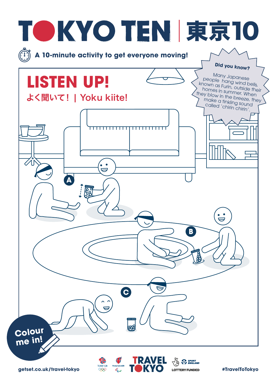